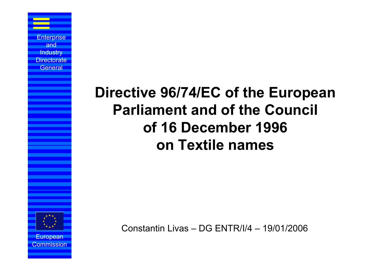# **Directive 96/74/EC of the European Parliament and of the Council of 16 December 1996 on Textile names**



European Commission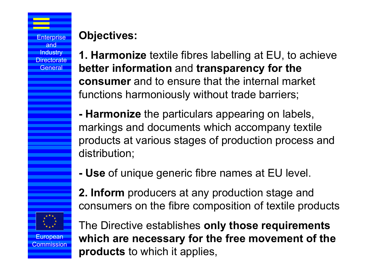### **Objectives:**

**1. Harmonize** textile fibres labelling at EU, to achieve **better information** and **transparency for the consumer** and to ensure that the internal market functions harmoniously without trade barriers;

- **- Harmonize** the particulars appearing on labels, markings and documents which accompany textile products at various stages of production process and distribution;
- **- Use** of unique generic fibre names at EU level.
- **2. Inform** producers at any production stage and consumers on the fibre composition of textile products



European Commission

The Directive establishes **only those requirements which are necessary for the free movement of the products** to which it applies,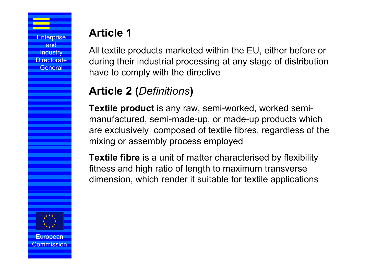### **Article 1**

All textile products marketed within the EU, either before or during their industrial processing at any stage of distribution have to comply with the directive

### **Article 2 (***Definitions***)**

**Textile product** is any raw, semi-worked, worked semimanufactured, semi-made-up, or made-up products which are exclusively composed of textile fibres, regardless of the mixing or assembly process employed

**Textile fibre** is a unit of matter characterised by flexibility fitness and high ratio of length to maximum transverse dimension, which render it suitable for textile applications

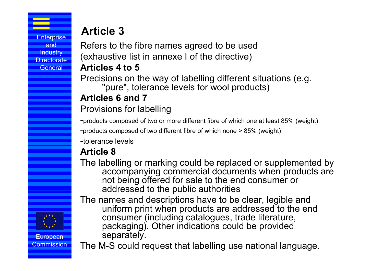European ommission

### **Article 3**

Refers to the fibre names agreed to be used (exhaustive list in annexe I of the directive)

#### **Articles 4 to 5**

Precisions on the way of labelling different situations (e.g. "pure", tolerance levels for wool products)

#### **Articles 6 and 7**

Provisions for labelling

-products composed of two or more different fibre of which one at least 85% (weight)

-products composed of two different fibre of which none > 85% (weight)

-tolerance levels

### **Article 8**

The labelling or marking could be replaced or supplemented by accompanying commercial documents when products are not being offered for sale to the end consumer or addressed to the public authorities

The names and descriptions have to be clear, legible and uniform print when products are addressed to the end consumer (including catalogues, trade literature, packaging). Other indications could be provided separately.

The M-S could request that labelling use national language.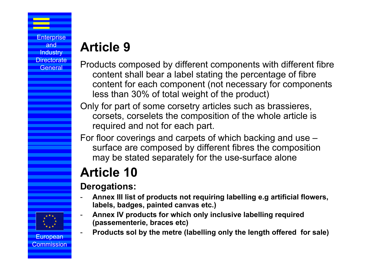# **Article 9**

- Products composed by different components with different fibre content shall bear a label stating the percentage of fibre content for each component (not necessary for components less than 30% of total weight of the product)
- Only for part of some corsetry articles such as brassieres, corsets, corselets the composition of the whole article is required and not for each part.
- For floor coverings and carpets of which backing and use surface are composed by different fibres the composition may be stated separately for the use-surface alone

# **Article 10**

#### **Derogations:**

- - **Annex III list of products not requiring labelling e.g artificial flowers, labels, badges, painted canvas etc.)**
- - **Annex IV products for which only inclusive labelling required (passementerie, braces etc)**
- -**Products sol by the metre (labelling only the length offered for sale)**

#### European ommission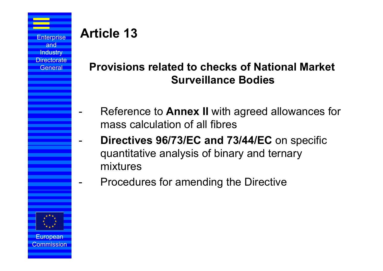-

-

-

### **Article 13**

### **Provisions related to checks of National Market Surveillance Bodies**

- Reference to **Annex II** with agreed allowances for mass calculation of all fibres
- **Directives 96/73/EC and 73/44/EC** on specific quantitative analysis of binary and ternary mixtures
	- Procedures for amending the Directive



Commission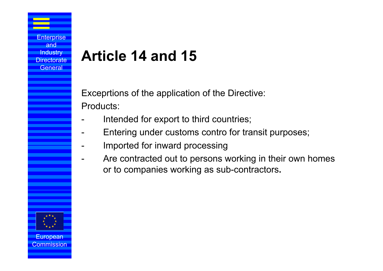# **Article 14 and 15**

Exceprtions of the application of the Directive: Products:

- Intended for export to third countries;
- Entering under customs contro for transit purposes;
- -Imported for inward processing
- Are contracted out to persons working in their own homes or to companies working as sub-contractors**.**



European Commission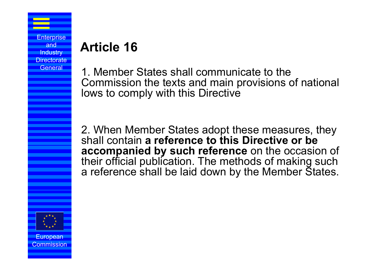## **Article 16**

1. Member States shall communicate to the Commission the texts and main provisions of national lows to comply with this Directive

2. When Member States adopt these measures, they shall contain **a reference to this Directive or be accompanied by such reference** on the occasion of their official publication. The methods of making such a reference shall be laid down by the Member States.



European ommission